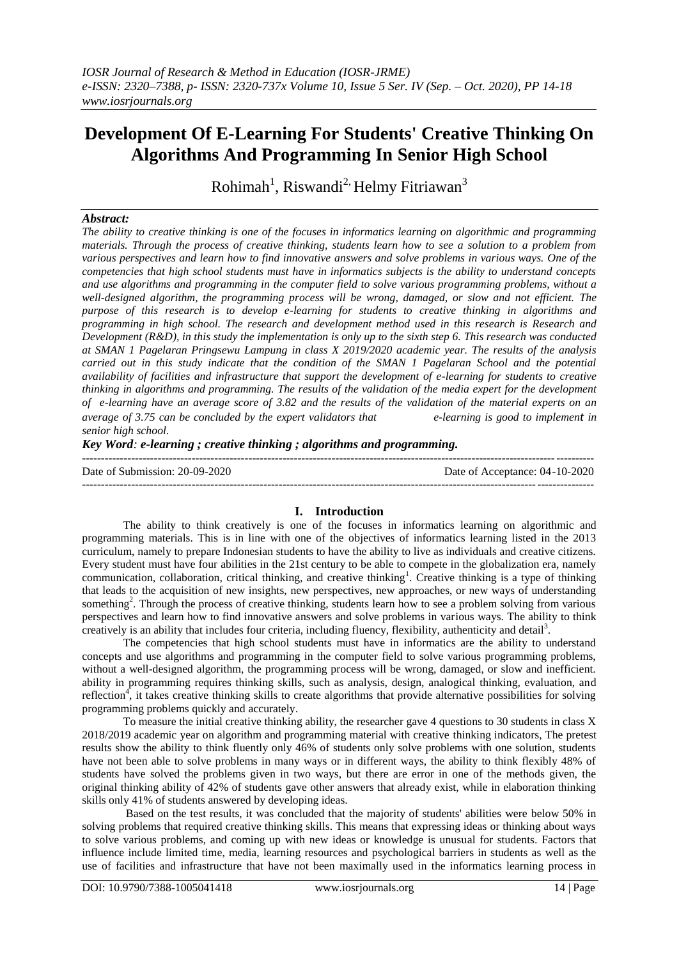# **Development Of E-Learning For Students' Creative Thinking On Algorithms And Programming In Senior High School**

Rohimah<sup>1</sup>, Riswandi<sup>2,</sup> Helmy Fitriawan<sup>3</sup>

## *Abstract:*

*The ability to creative thinking is one of the focuses in informatics learning on algorithmic and programming materials. Through the process of creative thinking, students learn how to see a solution to a problem from various perspectives and learn how to find innovative answers and solve problems in various ways. One of the competencies that high school students must have in informatics subjects is the ability to understand concepts and use algorithms and programming in the computer field to solve various programming problems, without a well-designed algorithm, the programming process will be wrong, damaged, or slow and not efficient. The purpose of this research is to develop e-learning for students to creative thinking in algorithms and programming in high school. The research and development method used in this research is Research and Development (R&D), in this study the implementation is only up to the sixth step 6. This research was conducted at SMAN 1 Pagelaran Pringsewu Lampung in class X 2019/2020 academic year. The results of the analysis carried out in this study indicate that the condition of the SMAN 1 Pagelaran School and the potential availability of facilities and infrastructure that support the development of e-learning for students to creative thinking in algorithms and programming. The results of the validation of the media expert for the development of e-learning have an average score of 3.82 and the results of the validation of the material experts on an average of 3.75 can be concluded by the expert validators that* e-learning is good to implement in *senior high school.*

*Key Word: e-learning ; creative thinking ; algorithms and programming.*

| Date of Submission: 20-09-2020 | Date of Acceptance: 04-10-2020 |
|--------------------------------|--------------------------------|
|                                |                                |

### **I. Introduction**

The ability to think creatively is one of the focuses in informatics learning on algorithmic and programming materials. This is in line with one of the objectives of informatics learning listed in the 2013 curriculum, namely to prepare Indonesian students to have the ability to live as individuals and creative citizens. Every student must have four abilities in the 21st century to be able to compete in the globalization era, namely communication, collaboration, critical thinking, and creative thinking<sup>1</sup>. Creative thinking is a type of thinking that leads to the acquisition of new insights, new perspectives, new approaches, or new ways of understanding something<sup>2</sup>. Through the process of creative thinking, students learn how to see a problem solving from various perspectives and learn how to find innovative answers and solve problems in various ways. The ability to think creatively is an ability that includes four criteria, including fluency, flexibility, authenticity and detail<sup>3</sup>.

The competencies that high school students must have in informatics are the ability to understand concepts and use algorithms and programming in the computer field to solve various programming problems, without a well-designed algorithm, the programming process will be wrong, damaged, or slow and inefficient. ability in programming requires thinking skills, such as analysis, design, analogical thinking, evaluation, and reflection<sup>4</sup>, it takes creative thinking skills to create algorithms that provide alternative possibilities for solving programming problems quickly and accurately.

To measure the initial creative thinking ability, the researcher gave 4 questions to 30 students in class X 2018/2019 academic year on algorithm and programming material with creative thinking indicators, The pretest results show the ability to think fluently only 46% of students only solve problems with one solution, students have not been able to solve problems in many ways or in different ways, the ability to think flexibly 48% of students have solved the problems given in two ways, but there are error in one of the methods given, the original thinking ability of 42% of students gave other answers that already exist, while in elaboration thinking skills only 41% of students answered by developing ideas.

Based on the test results, it was concluded that the majority of students' abilities were below 50% in solving problems that required creative thinking skills. This means that expressing ideas or thinking about ways to solve various problems, and coming up with new ideas or knowledge is unusual for students. Factors that influence include limited time, media, learning resources and psychological barriers in students as well as the use of facilities and infrastructure that have not been maximally used in the informatics learning process in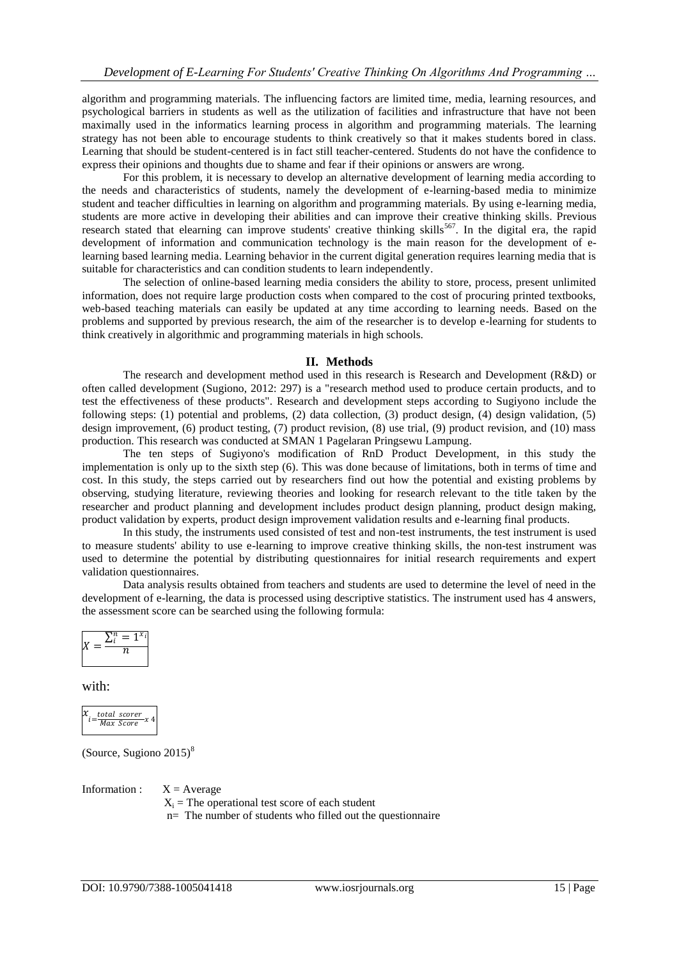algorithm and programming materials. The influencing factors are limited time, media, learning resources, and psychological barriers in students as well as the utilization of facilities and infrastructure that have not been maximally used in the informatics learning process in algorithm and programming materials. The learning strategy has not been able to encourage students to think creatively so that it makes students bored in class. Learning that should be student-centered is in fact still teacher-centered. Students do not have the confidence to express their opinions and thoughts due to shame and fear if their opinions or answers are wrong.

For this problem, it is necessary to develop an alternative development of learning media according to the needs and characteristics of students, namely the development of e-learning-based media to minimize student and teacher difficulties in learning on algorithm and programming materials. By using e-learning media, students are more active in developing their abilities and can improve their creative thinking skills. Previous research stated that elearning can improve students' creative thinking skills<sup>567</sup>. In the digital era, the rapid development of information and communication technology is the main reason for the development of elearning based learning media. Learning behavior in the current digital generation requires learning media that is suitable for characteristics and can condition students to learn independently.

The selection of online-based learning media considers the ability to store, process, present unlimited information, does not require large production costs when compared to the cost of procuring printed textbooks, web-based teaching materials can easily be updated at any time according to learning needs. Based on the problems and supported by previous research, the aim of the researcher is to develop e-learning for students to think creatively in algorithmic and programming materials in high schools.

## **II. Methods**

The research and development method used in this research is Research and Development (R&D) or often called development (Sugiono, 2012: 297) is a "research method used to produce certain products, and to test the effectiveness of these products". Research and development steps according to Sugiyono include the following steps: (1) potential and problems, (2) data collection, (3) product design, (4) design validation, (5) design improvement, (6) product testing, (7) product revision, (8) use trial, (9) product revision, and (10) mass production. This research was conducted at SMAN 1 Pagelaran Pringsewu Lampung.

The ten steps of Sugiyono's modification of RnD Product Development, in this study the implementation is only up to the sixth step (6). This was done because of limitations, both in terms of time and cost. In this study, the steps carried out by researchers find out how the potential and existing problems by observing, studying literature, reviewing theories and looking for research relevant to the title taken by the researcher and product planning and development includes product design planning, product design making, product validation by experts, product design improvement validation results and e-learning final products.

In this study, the instruments used consisted of test and non-test instruments, the test instrument is used to measure students' ability to use e-learning to improve creative thinking skills, the non-test instrument was used to determine the potential by distributing questionnaires for initial research requirements and expert validation questionnaires.

Data analysis results obtained from teachers and students are used to determine the level of need in the development of e-learning, the data is processed using descriptive statistics. The instrument used has 4 answers, the assessment score can be searched using the following formula:

$$
X=\frac{\sum_i^n=1^{x_i}}{n}
$$

with:

$$
x_{i=\frac{total\ scorer}{Max\ Score}} \times 4
$$

(Source, Sugiono  $2015$ )<sup>8</sup>

Information :  $X = Average$  $X_i$  = The operational test score of each student n= The number of students who filled out the questionnaire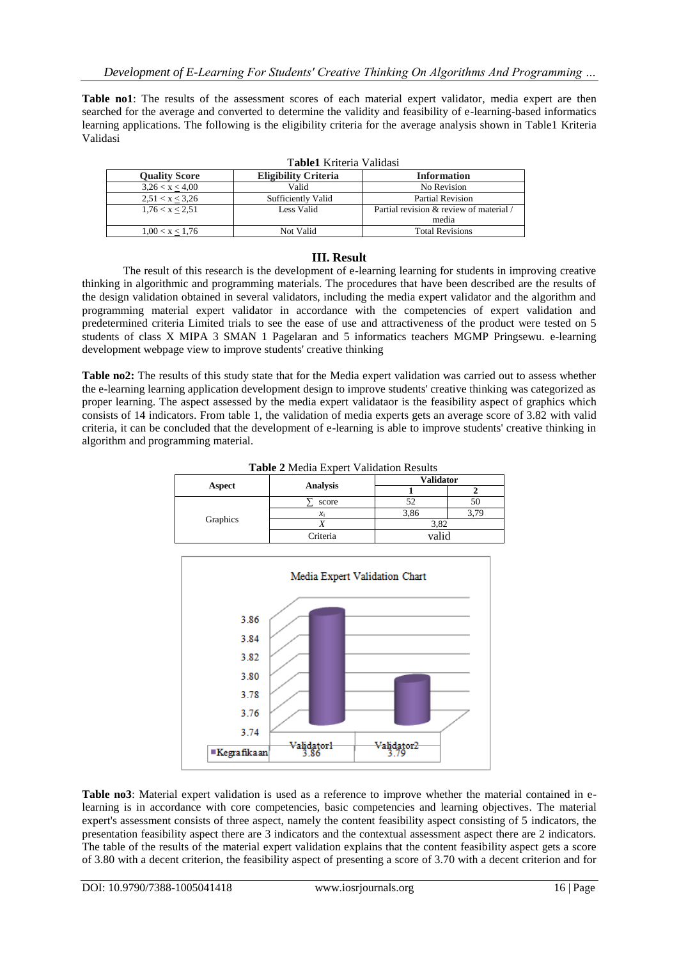**Table no1**: The results of the assessment scores of each material expert validator, media expert are then searched for the average and converted to determine the validity and feasibility of e-learning-based informatics learning applications. The following is the eligibility criteria for the average analysis shown in Table1 Kriteria Validasi

| <b>Quality Score</b> | Eligibility Criteria | <b>Information</b>                      |  |
|----------------------|----------------------|-----------------------------------------|--|
| 3,26 < x < 4,00      | Valid                | No Revision                             |  |
| 2,51 < x < 3,26      | Sufficiently Valid   | <b>Partial Revision</b>                 |  |
| 1,76 < x < 2,51      | Less Valid           | Partial revision & review of material / |  |
|                      |                      | media                                   |  |
| 1,00 < x < 1,76      | Not Valid            | <b>Total Revisions</b>                  |  |

#### T**able1** Kriteria Validasi

## **III. Result**

The result of this research is the development of e-learning learning for students in improving creative thinking in algorithmic and programming materials. The procedures that have been described are the results of the design validation obtained in several validators, including the media expert validator and the algorithm and programming material expert validator in accordance with the competencies of expert validation and predetermined criteria Limited trials to see the ease of use and attractiveness of the product were tested on 5 students of class X MIPA 3 SMAN 1 Pagelaran and 5 informatics teachers MGMP Pringsewu. e-learning development webpage view to improve students' creative thinking

**Table no2:** The results of this study state that for the Media expert validation was carried out to assess whether the e-learning learning application development design to improve students' creative thinking was categorized as proper learning. The aspect assessed by the media expert validataor is the feasibility aspect of graphics which consists of 14 indicators. From table 1, the validation of media experts gets an average score of 3.82 with valid criteria, it can be concluded that the development of e-learning is able to improve students' creative thinking in algorithm and programming material.

| <b>Table 2 Media Expert Validation Results</b> |                   |                  |      |  |  |  |
|------------------------------------------------|-------------------|------------------|------|--|--|--|
| Aspect                                         | <b>Analysis</b>   | <b>Validator</b> |      |  |  |  |
|                                                |                   |                  |      |  |  |  |
| Graphics                                       | score             | 52               | 50   |  |  |  |
|                                                | $\mathcal{X}_{i}$ | 3,86             | 3.79 |  |  |  |
|                                                |                   | 3.82             |      |  |  |  |
|                                                | Criteria          | valid            |      |  |  |  |

Media Expert Validation Chart 3.86 3.84 3.82 3.80 3.78 3.76 3.74

**Table no3**: Material expert validation is used as a reference to improve whether the material contained in elearning is in accordance with core competencies, basic competencies and learning objectives. The material expert's assessment consists of three aspect, namely the content feasibility aspect consisting of 5 indicators, the presentation feasibility aspect there are 3 indicators and the contextual assessment aspect there are 2 indicators. The table of the results of the material expert validation explains that the content feasibility aspect gets a score of 3.80 with a decent criterion, the feasibility aspect of presenting a score of 3.70 with a decent criterion and for

<del>Validator</del><br>3.86

■Kegrafikaan

<del>/alidator2</del>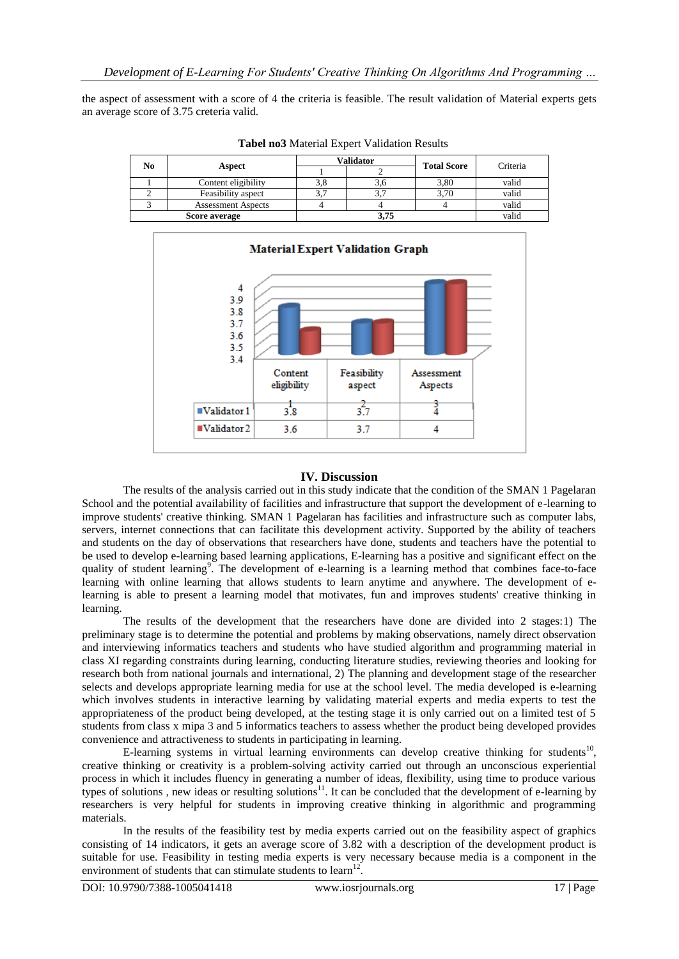the aspect of assessment with a score of 4 the criteria is feasible. The result validation of Material experts gets an average score of 3.75 creteria valid.

| No<br>Aspect |                           | Validator |          | Criteria           |       |
|--------------|---------------------------|-----------|----------|--------------------|-------|
|              |                           |           |          | <b>Total Score</b> |       |
|              | Content eligibility       | 3.8       |          | 3,80               | valid |
|              | Feasibility aspect        |           | <u>.</u> | 3,70               | valid |
|              | <b>Assessment Aspects</b> |           |          |                    | valid |
|              | Score average             | 3.75      |          | valid              |       |

**Tabel no3** Material Expert Validation Results



## **IV. Discussion**

The results of the analysis carried out in this study indicate that the condition of the SMAN 1 Pagelaran School and the potential availability of facilities and infrastructure that support the development of e-learning to improve students' creative thinking. SMAN 1 Pagelaran has facilities and infrastructure such as computer labs, servers, internet connections that can facilitate this development activity. Supported by the ability of teachers and students on the day of observations that researchers have done, students and teachers have the potential to be used to develop e-learning based learning applications, E-learning has a positive and significant effect on the quality of student learning<sup>9</sup>. The development of e-learning is a learning method that combines face-to-face learning with online learning that allows students to learn anytime and anywhere. The development of elearning is able to present a learning model that motivates, fun and improves students' creative thinking in learning.

The results of the development that the researchers have done are divided into 2 stages:1) The preliminary stage is to determine the potential and problems by making observations, namely direct observation and interviewing informatics teachers and students who have studied algorithm and programming material in class XI regarding constraints during learning, conducting literature studies, reviewing theories and looking for research both from national journals and international, 2) The planning and development stage of the researcher selects and develops appropriate learning media for use at the school level. The media developed is e-learning which involves students in interactive learning by validating material experts and media experts to test the appropriateness of the product being developed, at the testing stage it is only carried out on a limited test of 5 students from class x mipa 3 and 5 informatics teachers to assess whether the product being developed provides convenience and attractiveness to students in participating in learning.

E-learning systems in virtual learning environments can develop creative thinking for students<sup>10</sup>, creative thinking or creativity is a problem-solving activity carried out through an unconscious experiential process in which it includes fluency in generating a number of ideas, flexibility, using time to produce various types of solutions, new ideas or resulting solutions<sup>11</sup>. It can be concluded that the development of e-learning by researchers is very helpful for students in improving creative thinking in algorithmic and programming materials.

In the results of the feasibility test by media experts carried out on the feasibility aspect of graphics consisting of 14 indicators, it gets an average score of 3.82 with a description of the development product is suitable for use. Feasibility in testing media experts is very necessary because media is a component in the environment of students that can stimulate students to learn $12$ .